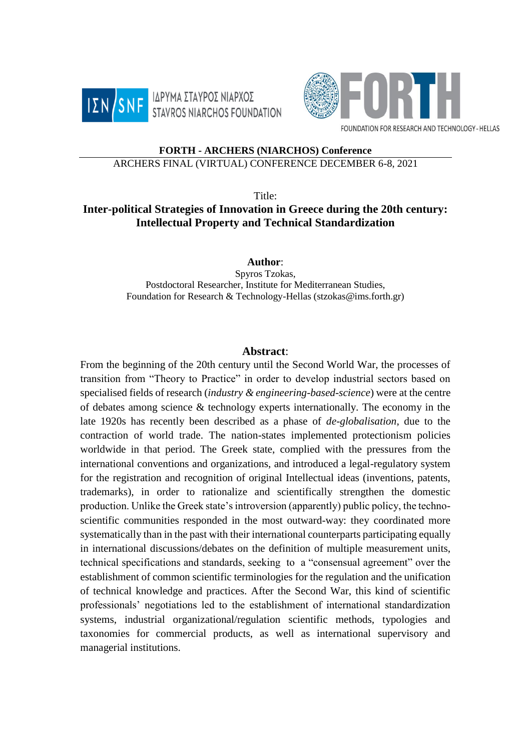



FOUNDATION FOR RESEARCH AND TECHNOLOGY - HELLAS

## **FORTH - ARCHERS (NIARCHOS) Conference**

## ARCHERS FINAL (VIRTUAL) CONFERENCE DECEMBER 6-8, 2021

Title:

## **Inter-political Strategies of Innovation in Greece during the 20th century: Intellectual Property and Technical Standardization**

**Author**:

Spyros Tzokas, Postdoctoral Researcher, Institute for Mediterranean Studies, Foundation for Research & Technology-Hellas (stzokas@ims.forth.gr)

## **Abstract**:

From the beginning of the 20th century until the Second World War, the processes of transition from "Theory to Practice" in order to develop industrial sectors based on specialised fields of research (*industry & engineering-based-science*) were at the centre of debates among science & technology experts internationally. The economy in the late 1920s has recently been described as a phase of *de-globalisation*, due to the contraction of world trade. The nation-states implemented protectionism policies worldwide in that period. The Greek state, complied with the pressures from the international conventions and organizations, and introduced a legal-regulatory system for the registration and recognition of original Intellectual ideas (inventions, patents, trademarks), in order to rationalize and scientifically strengthen the domestic production. Unlike the Greek state's introversion (apparently) public policy, the technoscientific communities responded in the most outward-way: they coordinated more systematically than in the past with their international counterparts participating equally in international discussions/debates on the definition of multiple measurement units, technical specifications and standards, seeking to a "consensual agreement" over the establishment of common scientific terminologies for the regulation and the unification of technical knowledge and practices. After the Second War, this kind of scientific professionals' negotiations led to the establishment of international standardization systems, industrial organizational/regulation scientific methods, typologies and taxonomies for commercial products, as well as international supervisory and managerial institutions.